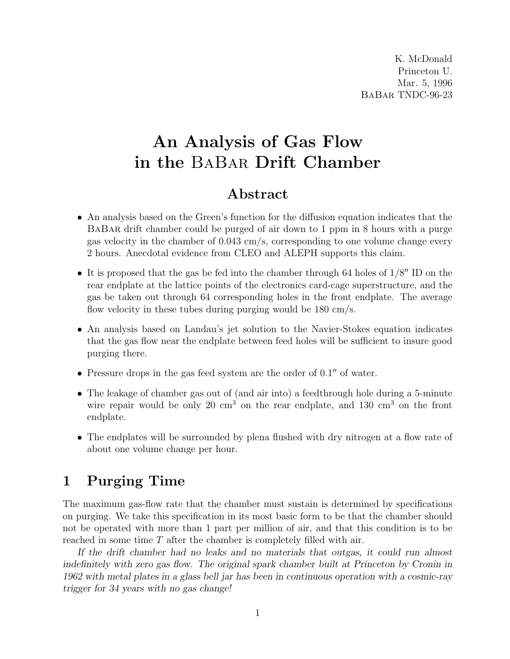K. McDonald Princeton U. Mar. 5, 1996 BaBar TNDC-96-23

# An Analysis of Gas Flow in the BaBar Drift Chamber

# Abstract

- An analysis based on the Green's function for the diffusion equation indicates that the BaBar drift chamber could be purged of air down to 1 ppm in 8 hours with a purge gas velocity in the chamber of 0.043 cm/s, corresponding to one volume change every 2 hours. Anecdotal evidence from CLEO and ALEPH supports this claim.
- It is proposed that the gas be fed into the chamber through 64 holes of  $1/8''$  ID on the rear endplate at the lattice points of the electronics card-cage superstructure, and the gas be taken out through 64 corresponding holes in the front endplate. The average flow velocity in these tubes during purging would be 180 cm/s.
- An analysis based on Landau's jet solution to the Navier-Stokes equation indicates that the gas flow near the endplate between feed holes will be sufficient to insure good purging there.
- Pressure drops in the gas feed system are the order of  $0.1''$  of water.
- The leakage of chamber gas out of (and air into) a feedthrough hole during a 5-minute wire repair would be only 20  $\text{cm}^3$  on the rear endplate, and 130  $\text{cm}^3$  on the front endplate.
- The endplates will be surrounded by plena flushed with dry nitrogen at a flow rate of about one volume change per hour.

# 1 Purging Time

The maximum gas-flow rate that the chamber must sustain is determined by specifications on purging. We take this specification in its most basic form to be that the chamber should not be operated with more than 1 part per million of air, and that this condition is to be reached in some time T after the chamber is completely filled with air.

If the drift chamber had no leaks and no materials that outgas, it could run almost indefinitely with zero gas flow. The original spark chamber built at Princeton by Cronin in 1962 with metal plates in a glass bell jar has been in continuous operation with a cosmic-ray trigger for 34 years with no gas change!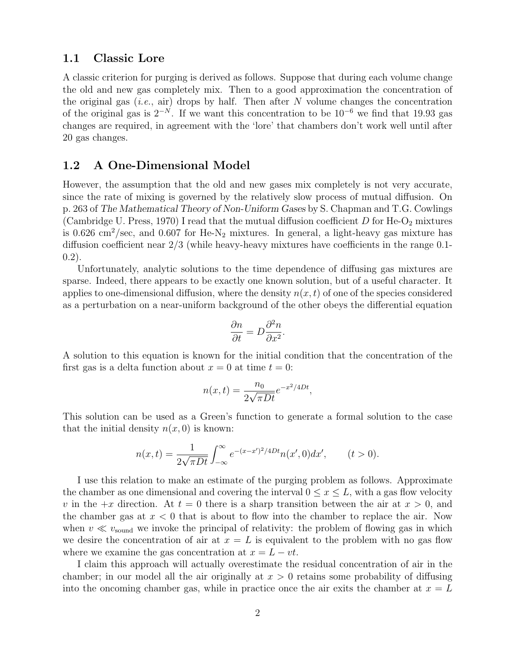#### 1.1 Classic Lore

A classic criterion for purging is derived as follows. Suppose that during each volume change the old and new gas completely mix. Then to a good approximation the concentration of the original gas (*i.e.*, air) drops by half. Then after  $N$  volume changes the concentration of the original gas is  $2^{-N}$ . If we want this concentration to be  $10^{-6}$  we find that 19.93 gas changes are required, in agreement with the 'lore' that chambers don't work well until after 20 gas changes.

#### 1.2 A One-Dimensional Model

However, the assumption that the old and new gases mix completely is not very accurate, since the rate of mixing is governed by the relatively slow process of mutual diffusion. On p. 263 of The Mathematical Theory of Non-Uniform Gases by S. Chapman and T.G. Cowlings (Cambridge U. Press, 1970) I read that the mutual diffusion coefficient  $D$  for He-O<sub>2</sub> mixtures is 0.626 cm<sup>2</sup>/sec, and 0.607 for He-N<sub>2</sub> mixtures. In general, a light-heavy gas mixture has diffusion coefficient near 2/3 (while heavy-heavy mixtures have coefficients in the range 0.1-  $(0.2)$ .

Unfortunately, analytic solutions to the time dependence of diffusing gas mixtures are sparse. Indeed, there appears to be exactly one known solution, but of a useful character. It applies to one-dimensional diffusion, where the density  $n(x, t)$  of one of the species considered as a perturbation on a near-uniform background of the other obeys the differential equation

$$
\frac{\partial n}{\partial t} = D \frac{\partial^2 n}{\partial x^2}.
$$

A solution to this equation is known for the initial condition that the concentration of the first gas is a delta function about  $x = 0$  at time  $t = 0$ :

$$
n(x,t) = \frac{n_0}{2\sqrt{\pi Dt}}e^{-x^2/4Dt},
$$

This solution can be used as a Green's function to generate a formal solution to the case that the initial density  $n(x, 0)$  is known:

$$
n(x,t) = \frac{1}{2\sqrt{\pi Dt}} \int_{-\infty}^{\infty} e^{-(x-x')^2/4Dt} n(x',0) dx', \qquad (t > 0).
$$

I use this relation to make an estimate of the purging problem as follows. Approximate the chamber as one dimensional and covering the interval  $0 \leq x \leq L$ , with a gas flow velocity v in the  $+x$  direction. At  $t=0$  there is a sharp transition between the air at  $x>0$ , and the chamber gas at  $x < 0$  that is about to flow into the chamber to replace the air. Now when  $v \ll v_{\text{sound}}$  we invoke the principal of relativity: the problem of flowing gas in which we desire the concentration of air at  $x = L$  is equivalent to the problem with no gas flow where we examine the gas concentration at  $x = L - vt$ .

I claim this approach will actually overestimate the residual concentration of air in the chamber; in our model all the air originally at  $x > 0$  retains some probability of diffusing into the oncoming chamber gas, while in practice once the air exits the chamber at  $x = L$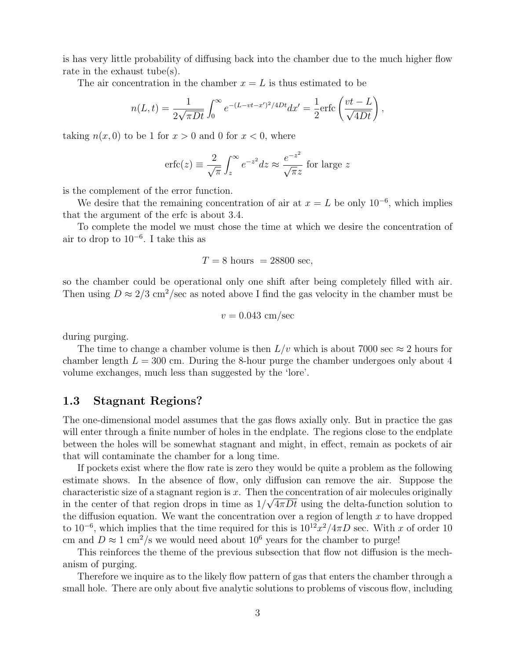is has very little probability of diffusing back into the chamber due to the much higher flow rate in the exhaust tube(s).

The air concentration in the chamber  $x = L$  is thus estimated to be

$$
n(L,t) = \frac{1}{2\sqrt{\pi Dt}} \int_0^\infty e^{-(L-vt-x')^2/4Dt} dx' = \frac{1}{2} \text{erfc}\left(\frac{vt-L}{\sqrt{4Dt}}\right),
$$

taking  $n(x, 0)$  to be 1 for  $x > 0$  and 0 for  $x < 0$ , where

$$
\text{erfc}(z) \equiv \frac{2}{\sqrt{\pi}} \int_z^{\infty} e^{-z^2} dz \approx \frac{e^{-z^2}}{\sqrt{\pi z}} \text{ for large } z
$$

is the complement of the error function.

We desire that the remaining concentration of air at  $x = L$  be only  $10^{-6}$ , which implies that the argument of the erfc is about 3.4.

To complete the model we must chose the time at which we desire the concentration of air to drop to  $10^{-6}$ . I take this as

$$
T = 8
$$
 hours = 28800 sec,

so the chamber could be operational only one shift after being completely filled with air. Then using  $D \approx 2/3$  cm<sup>2</sup>/sec as noted above I find the gas velocity in the chamber must be

$$
v = 0.043 \text{ cm/sec}
$$

during purging.

The time to change a chamber volume is then  $L/v$  which is about 7000 sec  $\approx 2$  hours for chamber length  $L = 300$  cm. During the 8-hour purge the chamber undergoes only about 4 volume exchanges, much less than suggested by the 'lore'.

#### 1.3 Stagnant Regions?

The one-dimensional model assumes that the gas flows axially only. But in practice the gas will enter through a finite number of holes in the endplate. The regions close to the endplate between the holes will be somewhat stagnant and might, in effect, remain as pockets of air that will contaminate the chamber for a long time.

If pockets exist where the flow rate is zero they would be quite a problem as the following estimate shows. In the absence of flow, only diffusion can remove the air. Suppose the characteristic size of a stagnant region is x. Then the concentration of air molecules originally in the center of that region drops in time as  $1/\sqrt{4\pi Dt}$  using the delta-function solution to the diffusion equation. We want the concentration over a region of length  $x$  to have dropped to 10<sup>-6</sup>, which implies that the time required for this is  $10^{12}x^2/4\pi D$  sec. With x of order 10 cm and  $D \approx 1$  cm<sup>2</sup>/s we would need about 10<sup>6</sup> years for the chamber to purge!

This reinforces the theme of the previous subsection that flow not diffusion is the mechanism of purging.

Therefore we inquire as to the likely flow pattern of gas that enters the chamber through a small hole. There are only about five analytic solutions to problems of viscous flow, including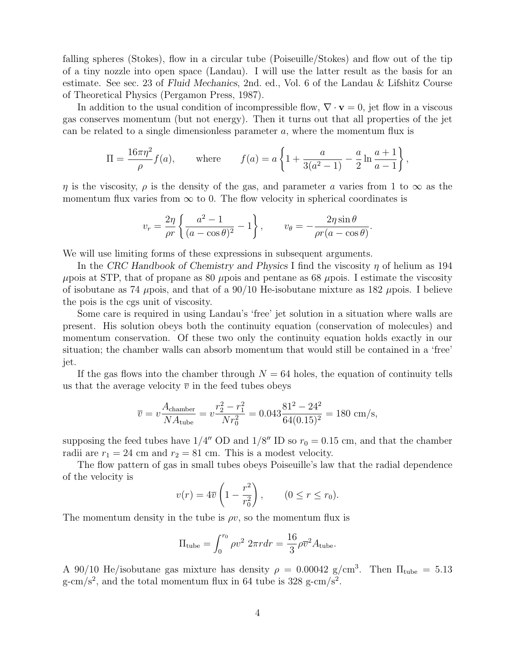falling spheres (Stokes), flow in a circular tube (Poiseuille/Stokes) and flow out of the tip of a tiny nozzle into open space (Landau). I will use the latter result as the basis for an estimate. See sec. 23 of Fluid Mechanics, 2nd. ed., Vol. 6 of the Landau & Lifshitz Course of Theoretical Physics (Pergamon Press, 1987).

In addition to the usual condition of incompressible flow,  $\nabla \cdot \mathbf{v} = 0$ , jet flow in a viscous gas conserves momentum (but not energy). Then it turns out that all properties of the jet can be related to a single dimensionless parameter  $a$ , where the momentum flux is

$$
\Pi = \frac{16\pi\eta^2}{\rho} f(a), \quad \text{where} \quad f(a) = a \left\{ 1 + \frac{a}{3(a^2 - 1)} - \frac{a}{2} \ln \frac{a + 1}{a - 1} \right\},
$$

 $\eta$  is the viscosity,  $\rho$  is the density of the gas, and parameter a varies from 1 to  $\infty$  as the momentum flux varies from  $\infty$  to 0. The flow velocity in spherical coordinates is

$$
v_r = \frac{2\eta}{\rho r} \left\{ \frac{a^2 - 1}{(a - \cos \theta)^2} - 1 \right\}, \qquad v_\theta = -\frac{2\eta \sin \theta}{\rho r (a - \cos \theta)}.
$$

We will use limiting forms of these expressions in subsequent arguments.

In the CRC Handbook of Chemistry and Physics I find the viscosity  $\eta$  of helium as 194  $\mu$ pois at STP, that of propane as 80  $\mu$ pois and pentane as 68  $\mu$ pois. I estimate the viscosity of isobutane as 74  $\mu$ pois, and that of a 90/10 He-isobutane mixture as 182  $\mu$ pois. I believe the pois is the cgs unit of viscosity.

Some care is required in using Landau's 'free' jet solution in a situation where walls are present. His solution obeys both the continuity equation (conservation of molecules) and momentum conservation. Of these two only the continuity equation holds exactly in our situation; the chamber walls can absorb momentum that would still be contained in a 'free' jet.

If the gas flows into the chamber through  $N = 64$  holes, the equation of continuity tells us that the average velocity  $\overline{v}$  in the feed tubes obeys

$$
\overline{v} = v \frac{A_{\text{chamber}}}{NA_{\text{tube}}} = v \frac{r_2^2 - r_1^2}{Nr_0^2} = 0.043 \frac{81^2 - 24^2}{64(0.15)^2} = 180 \text{ cm/s},
$$

supposing the feed tubes have  $1/4''$  OD and  $1/8''$  ID so  $r_0 = 0.15$  cm, and that the chamber radii are  $r_1 = 24$  cm and  $r_2 = 81$  cm. This is a modest velocity.

The flow pattern of gas in small tubes obeys Poiseuille's law that the radial dependence of the velocity is  $\overline{a}$ !<br>!

$$
v(r) = 4\overline{v}\left(1 - \frac{r^2}{r_0^2}\right), \qquad (0 \le r \le r_0).
$$

The momentum density in the tube is  $\rho v$ , so the momentum flux is

$$
\Pi_{\text{tube}} = \int_0^{r_0} \rho v^2 \ 2\pi r dr = \frac{16}{3} \rho \overline{v}^2 A_{\text{tube}}.
$$

A 90/10 He/isobutane gas mixture has density  $\rho = 0.00042$  g/cm<sup>3</sup>. Then  $\Pi_{\text{tube}} = 5.13$  $g-cm/s<sup>2</sup>$ , and the total momentum flux in 64 tube is 328 g-cm/s<sup>2</sup>.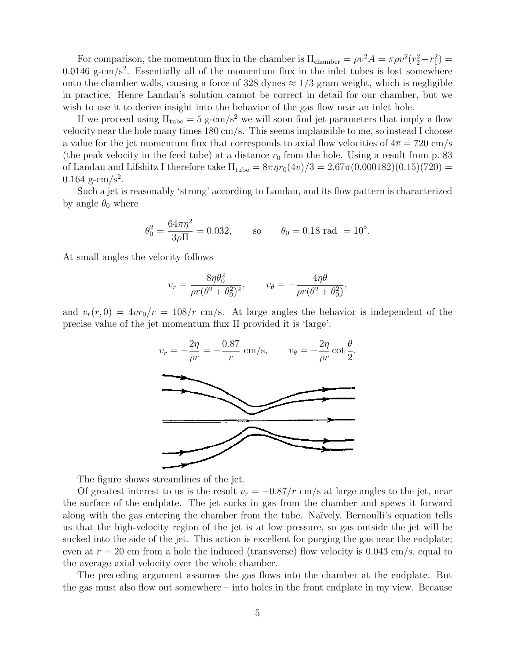For comparison, the momentum flux in the chamber is  $\Pi_{\text{chamber}} = \rho v^2 A = \pi \rho v^2 (r_2^2 - r_1^2)$  $0.0146$  g-cm/s<sup>2</sup>. Essentially all of the momentum flux in the inlet tubes is lost somewhere onto the chamber walls, causing a force of 328 dynes  $\approx 1/3$  gram weight, which is negligible in practice. Hence Landau's solution cannot be correct in detail for our chamber, but we wish to use it to derive insight into the behavior of the gas flow near an inlet hole.

If we proceed using  $\Pi_{\text{tube}} = 5$  g-cm/s<sup>2</sup> we will soon find jet parameters that imply a flow velocity near the hole many times 180 cm/s. This seems implausible to me, so instead I choose a value for the jet momentum flux that corresponds to axial flow velocities of  $4\overline{v} = 720 \text{ cm/s}$ (the peak velocity in the feed tube) at a distance  $r_0$  from the hole. Using a result from p. 83 of Landau and Lifshitz I therefore take  $\Pi_{\text{tube}} = 8\pi \eta r_0 (4\overline{v})/3 = 2.67\pi (0.000182)(0.15)(720) =$  $0.164$  g-cm/s<sup>2</sup>.

Such a jet is reasonably 'strong' according to Landau, and its flow pattern is characterized by angle  $\theta_0$  where

$$
\theta_0^2 = \frac{64\pi\eta^2}{3\rho\Pi} = 0.032
$$
, so  $\theta_0 = 0.18$  rad = 10<sup>°</sup>.

At small angles the velocity follows

$$
v_r = \frac{8\eta\theta_0^2}{\rho r(\theta^2 + \theta_0^2)^2}, \qquad v_\theta = -\frac{4\eta\theta}{\rho r(\theta^2 + \theta_0^2)},
$$

and  $v_r(r, 0) = 4\overline{v}r_0/r = 108/r$  cm/s. At large angles the behavior is independent of the precise value of the jet momentum flux Π provided it is 'large':



The figure shows streamlines of the jet.

Of greatest interest to us is the result  $v_r = -0.87/r$  cm/s at large angles to the jet, near the surface of the endplate. The jet sucks in gas from the chamber and spews it forward along with the gas entering the chamber from the tube. Na¨ıvely, Bernoulli's equation tells us that the high-velocity region of the jet is at low pressure, so gas outside the jet will be sucked into the side of the jet. This action is excellent for purging the gas near the endplate; even at  $r = 20$  cm from a hole the induced (transverse) flow velocity is 0.043 cm/s, equal to the average axial velocity over the whole chamber.

The preceding argument assumes the gas flows into the chamber at the endplate. But the gas must also flow out somewhere – into holes in the front endplate in my view. Because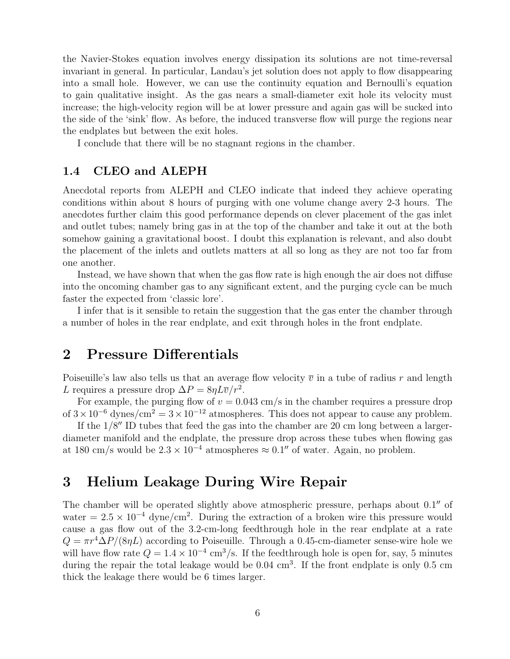the Navier-Stokes equation involves energy dissipation its solutions are not time-reversal invariant in general. In particular, Landau's jet solution does not apply to flow disappearing into a small hole. However, we can use the continuity equation and Bernoulli's equation to gain qualitative insight. As the gas nears a small-diameter exit hole its velocity must increase; the high-velocity region will be at lower pressure and again gas will be sucked into the side of the 'sink' flow. As before, the induced transverse flow will purge the regions near the endplates but between the exit holes.

I conclude that there will be no stagnant regions in the chamber.

#### 1.4 CLEO and ALEPH

Anecdotal reports from ALEPH and CLEO indicate that indeed they achieve operating conditions within about 8 hours of purging with one volume change avery 2-3 hours. The anecdotes further claim this good performance depends on clever placement of the gas inlet and outlet tubes; namely bring gas in at the top of the chamber and take it out at the both somehow gaining a gravitational boost. I doubt this explanation is relevant, and also doubt the placement of the inlets and outlets matters at all so long as they are not too far from one another.

Instead, we have shown that when the gas flow rate is high enough the air does not diffuse into the oncoming chamber gas to any significant extent, and the purging cycle can be much faster the expected from 'classic lore'.

I infer that is it sensible to retain the suggestion that the gas enter the chamber through a number of holes in the rear endplate, and exit through holes in the front endplate.

### 2 Pressure Differentials

Poiseuille's law also tells us that an average flow velocity  $\overline{v}$  in a tube of radius r and length L requires a pressure drop  $\Delta P = 8\eta L \overline{v}/r^2$ .

For example, the purging flow of  $v = 0.043$  cm/s in the chamber requires a pressure drop of  $3 \times 10^{-6}$  dynes/cm<sup>2</sup> =  $3 \times 10^{-12}$  atmospheres. This does not appear to cause any problem.

If the  $1/8''$  ID tubes that feed the gas into the chamber are 20 cm long between a largerdiameter manifold and the endplate, the pressure drop across these tubes when flowing gas at 180 cm/s would be  $2.3 \times 10^{-4}$  atmospheres  $\approx 0.1''$  of water. Again, no problem.

# 3 Helium Leakage During Wire Repair

The chamber will be operated slightly above atmospheric pressure, perhaps about  $0.1''$  of water =  $2.5 \times 10^{-4}$  dyne/cm<sup>2</sup>. During the extraction of a broken wire this pressure would cause a gas flow out of the 3.2-cm-long feedthrough hole in the rear endplate at a rate  $Q = \pi r^4 \Delta P/(8\eta L)$  according to Poiseuille. Through a 0.45-cm-diameter sense-wire hole we will have flow rate  $Q = 1.4 \times 10^{-4}$  cm<sup>3</sup>/s. If the feedthrough hole is open for, say, 5 minutes during the repair the total leakage would be 0.04 cm<sup>3</sup>. If the front endplate is only 0.5 cm thick the leakage there would be 6 times larger.